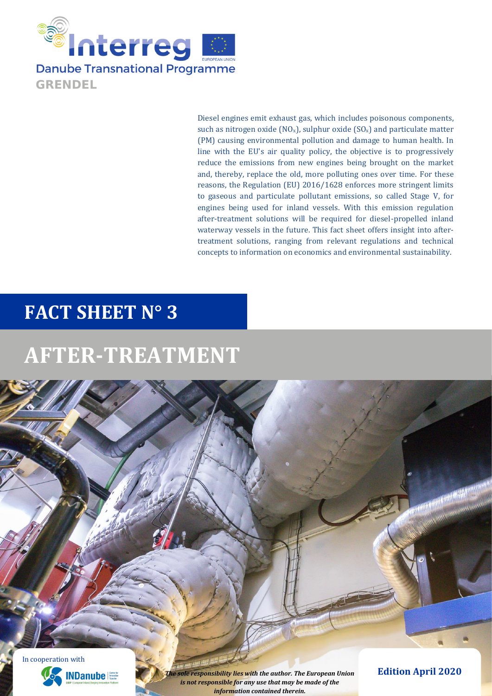

Diesel engines emit exhaust gas, which includes poisonous components, such as nitrogen oxide ( $NO_x$ ), sulphur oxide ( $SO_x$ ) and particulate matter (PM) causing environmental pollution and damage to human health. In line with the EU's air quality policy, the objective is to progressively reduce the emissions from new engines being brought on the market and, thereby, replace the old, more polluting ones over time. For these reasons, the Regulation (EU) 2016/1628 enforces more stringent limits to gaseous and particulate pollutant emissions, so called Stage V, for engines being used for inland vessels. With this emission regulation after-treatment solutions will be required for diesel-propelled inland waterway vessels in the future. This fact sheet offers insight into aftertreatment solutions, ranging from relevant regulations and technical concepts to information on economics and environmental sustainability.

# **FACT SHEET N° 3**

# **AFTER-TREATMENT**

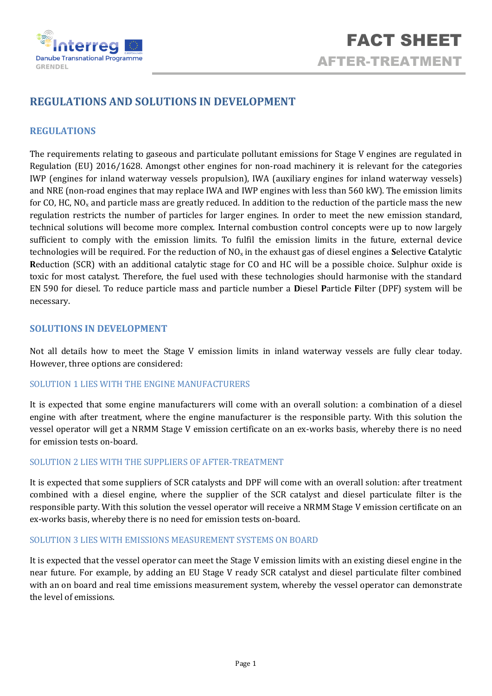

# **REGULATIONS AND SOLUTIONS IN DEVELOPMENT**

## **REGULATIONS**

The requirements relating to gaseous and particulate pollutant emissions for Stage V engines are regulated in Regulation (EU) 2016/1628. Amongst other engines for non-road machinery it is relevant for the categories IWP (engines for inland waterway vessels propulsion), IWA (auxiliary engines for inland waterway vessels) and NRE (non-road engines that may replace IWA and IWP engines with less than 560 kW). The emission limits for CO, HC,  $NO<sub>x</sub>$  and particle mass are greatly reduced. In addition to the reduction of the particle mass the new regulation restricts the number of particles for larger engines. In order to meet the new emission standard, technical solutions will become more complex. Internal combustion control concepts were up to now largely sufficient to comply with the emission limits. To fulfil the emission limits in the future, external device technologies will be required. For the reduction of NOx in the exhaust gas of diesel engines a **S**elective **C**atalytic **R**eduction (SCR) with an additional catalytic stage for CO and HC will be a possible choice. Sulphur oxide is toxic for most catalyst. Therefore, the fuel used with these technologies should harmonise with the standard EN 590 for diesel. To reduce particle mass and particle number a **D**iesel **P**article **F**ilter (DPF) system will be necessary.

### **SOLUTIONS IN DEVELOPMENT**

Not all details how to meet the Stage V emission limits in inland waterway vessels are fully clear today. However, three options are considered:

## SOLUTION 1 LIES WITH THE ENGINE MANUFACTURERS

It is expected that some engine manufacturers will come with an overall solution: a combination of a diesel engine with after treatment, where the engine manufacturer is the responsible party. With this solution the vessel operator will get a NRMM Stage V emission certificate on an ex-works basis, whereby there is no need for emission tests on-board.

#### SOLUTION 2 LIES WITH THE SUPPLIERS OF AFTER-TREATMENT

It is expected that some suppliers of SCR catalysts and DPF will come with an overall solution: after treatment combined with a diesel engine, where the supplier of the SCR catalyst and diesel particulate filter is the responsible party. With this solution the vessel operator will receive a NRMM Stage V emission certificate on an ex-works basis, whereby there is no need for emission tests on-board.

#### SOLUTION 3 LIES WITH EMISSIONS MEASUREMENT SYSTEMS ON BOARD

It is expected that the vessel operator can meet the Stage V emission limits with an existing diesel engine in the near future. For example, by adding an EU Stage V ready SCR catalyst and diesel particulate filter combined with an on board and real time emissions measurement system, whereby the vessel operator can demonstrate the level of emissions.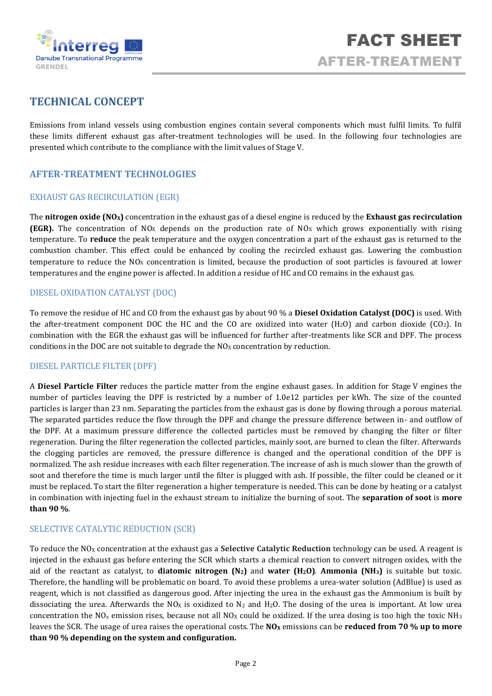

# **TECHNICAL CONCEPT**

Emissions from inland vessels using combustion engines contain several components which must fulfil limits. To fulfil these limits different exhaust gas after-treatment technologies will be used. In the following four technologies are presented which contribute to the compliance with the limit values of Stage V.

## **AFTER-TREATMENT TECHNOLOGIES**

### EXHAUST GAS RECIRCULATION (EGR)

The **nitrogen oxide (NOX)** concentration in the exhaust gas of a diesel engine is reduced by the **Exhaust gas recirculation (EGR).** The concentration of NO<sub>X</sub> depends on the production rate of NO<sub>X</sub> which grows exponentially with rising temperature. To **reduce** the peak temperature and the oxygen concentration a part of the exhaust gas is returned to the combustion chamber. This effect could be enhanced by cooling the recircled exhaust gas. Lowering the combustion temperature to reduce the  $NQ_X$  concentration is limited, because the production of soot particles is favoured at lower temperatures and the engine power is affected. In addition a residue of HC and CO remains in the exhaust gas.

#### DIESEL OXIDATION CATALYST (DOC)

To remove the residue of HC and CO from the exhaust gas by about 90 % a **Diesel Oxidation Catalyst (DOC)** is used. With the after-treatment component DOC the HC and the CO are oxidized into water  $(H_2O)$  and carbon dioxide  $(CO_2)$ . In combination with the EGR the exhaust gas will be influenced for further after-treatments like SCR and DPF. The process conditions in the DOC are not suitable to degrade the  $NO<sub>X</sub>$  concentration by reduction.

#### DIESEL PARTICLE FILTER (DPF)

A **Diesel Particle Filter** reduces the particle matter from the engine exhaust gases. In addition for Stage V engines the number of particles leaving the DPF is restricted by a number of 1.0e12 particles per kWh. The size of the counted particles is larger than 23 nm. Separating the particles from the exhaust gas is done by flowing through a porous material. The separated particles reduce the flow through the DPF and change the pressure difference between in- and outflow of the DPF. At a maximum pressure difference the collected particles must be removed by changing the filter or filter regeneration. During the filter regeneration the collected particles, mainly soot, are burned to clean the filter. Afterwards the clogging particles are removed, the pressure difference is changed and the operational condition of the DPF is normalized. The ash residue increases with each filter regeneration. The increase of ash is much slower than the growth of soot and therefore the time is much larger until the filter is plugged with ash. If possible, the filter could be cleaned or it must be replaced. To start the filter regeneration a higher temperature is needed. This can be done by heating or a catalyst in combination with injecting fuel in the exhaust stream to initialize the burning of soot. The **separation of soot** is **more than 90 %**.

#### SELECTIVE CATALYTIC REDUCTION (SCR)

To reduce the NO<sup>X</sup> concentration at the exhaust gas a **Selective Catalytic Reduction** technology can be used. A reagent is injected in the exhaust gas before entering the SCR which starts a chemical reaction to convert nitrogen oxides, with the aid of the reactant as catalyst, to **diatomic nitrogen (N2)** and **water (H2O)**. **Ammonia (NH3)** is suitable but toxic. Therefore, the handling will be problematic on board. To avoid these problems a urea-water solution (AdBlue) is used as reagent, which is not classified as dangerous good. After injecting the urea in the exhaust gas the Ammonium is built by dissociating the urea. Afterwards the NO<sub>x</sub> is oxidized to N<sub>2</sub> and H<sub>2</sub>O. The dosing of the urea is important. At low urea concentration the NO<sub>x</sub> emission rises, because not all NO<sub>x</sub> could be oxidized. If the urea dosing is too high the toxic NH<sub>3</sub> leaves the SCR. The usage of urea raises the operational costs. The **NO<sup>X</sup>** emissions can be **reduced from 70 % up to more than 90 % depending on the system and configuration.**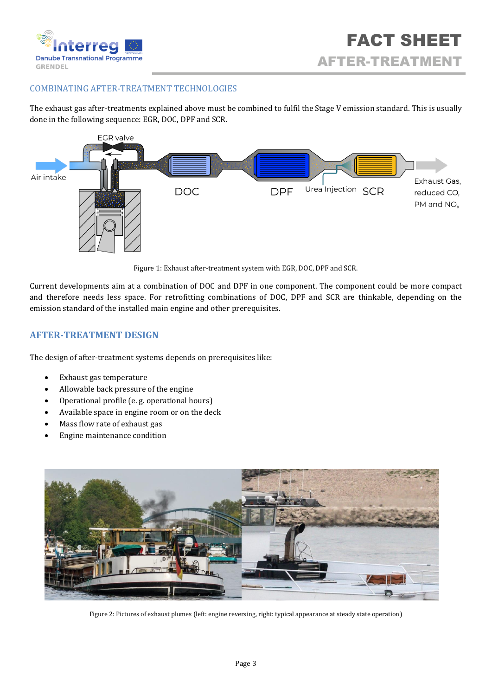

## COMBINATING AFTER-TREATMENT TECHNOLOGIES

The exhaust gas after-treatments explained above must be combined to fulfil the Stage V emission standard. This is usually done in the following sequence: EGR, DOC, DPF and SCR.



Figure 1: Exhaust after-treatment system with EGR, DOC, DPF and SCR.

Current developments aim at a combination of DOC and DPF in one component. The component could be more compact and therefore needs less space. For retrofitting combinations of DOC, DPF and SCR are thinkable, depending on the emission standard of the installed main engine and other prerequisites.

# **AFTER-TREATMENT DESIGN**

The design of after-treatment systems depends on prerequisites like:

- Exhaust gas temperature
- Allowable back pressure of the engine
- Operational profile (e. g. operational hours)
- Available space in engine room or on the deck
- Mass flow rate of exhaust gas
- Engine maintenance condition



Figure 2: Pictures of exhaust plumes (left: engine reversing, right: typical appearance at steady state operation)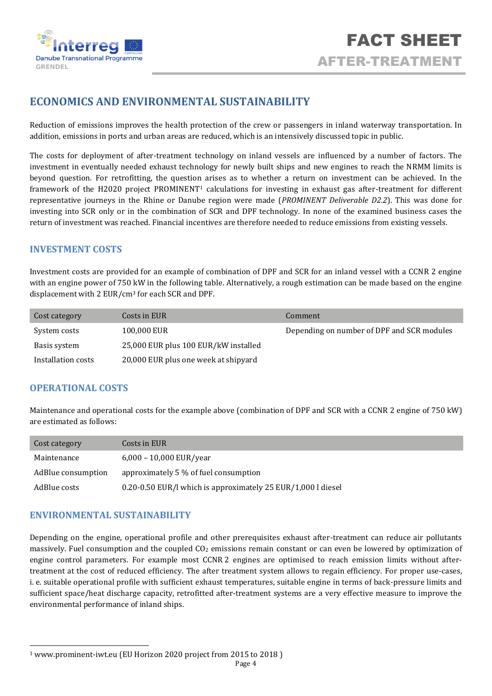

# **ECONOMICS AND ENVIRONMENTAL SUSTAINABILITY**

Reduction of emissions improves the health protection of the crew or passengers in inland waterway transportation. In addition, emissions in ports and urban areas are reduced, which is an intensively discussed topic in public.

The costs for deployment of after-treatment technology on inland vessels are influenced by a number of factors. The investment in eventually needed exhaust technology for newly built ships and new engines to reach the NRMM limits is beyond question. For retrofitting, the question arises as to whether a return on investment can be achieved. In the framework of the H2020 project PROMINENT<sup>1</sup> calculations for investing in exhaust gas after-treatment for different representative journeys in the Rhine or Danube region were made (*PROMINENT Deliverable D2.2*). This was done for investing into SCR only or in the combination of SCR and DPF technology. In none of the examined business cases the return of investment was reached. Financial incentives are therefore needed to reduce emissions from existing vessels.

## **INVESTMENT COSTS**

Investment costs are provided for an example of combination of DPF and SCR for an inland vessel with a CCNR 2 engine with an engine power of 750 kW in the following table. Alternatively, a rough estimation can be made based on the engine displacement with 2 EUR/cm<sup>3</sup> for each SCR and DPF.

| Cost category      | Costs in EUR                         | Comment                                    |
|--------------------|--------------------------------------|--------------------------------------------|
| System costs       | 100,000 EUR                          | Depending on number of DPF and SCR modules |
| Basis system       | 25,000 EUR plus 100 EUR/kW installed |                                            |
| Installation costs | 20,000 EUR plus one week at shipyard |                                            |

## **OPERATIONAL COSTS**

Maintenance and operational costs for the example above (combination of DPF and SCR with a CCNR 2 engine of 750 kW) are estimated as follows:

| Cost category      | Costs in EUR                                                 |
|--------------------|--------------------------------------------------------------|
| Maintenance        | $6,000 - 10,000$ EUR/year                                    |
| AdBlue consumption | approximately 5 % of fuel consumption                        |
| AdBlue costs       | 0.20-0.50 EUR/l which is approximately 25 EUR/1,000 l diesel |

## **ENVIRONMENTAL SUSTAINABILITY**

Depending on the engine, operational profile and other prerequisites exhaust after-treatment can reduce air pollutants massively. Fuel consumption and the coupled CO<sup>2</sup> emissions remain constant or can even be lowered by optimization of engine control parameters. For example most CCNR 2 engines are optimised to reach emission limits without aftertreatment at the cost of reduced efficiency. The after treatment system allows to regain efficiency. For proper use-cases, i. e. suitable operational profile with sufficient exhaust temperatures, suitable engine in terms of back-pressure limits and sufficient space/heat discharge capacity, retrofitted after-treatment systems are a very effective measure to improve the environmental performance of inland ships.

<sup>1</sup> www.prominent-iwt.eu (EU Horizon 2020 project from 2015 to 2018 )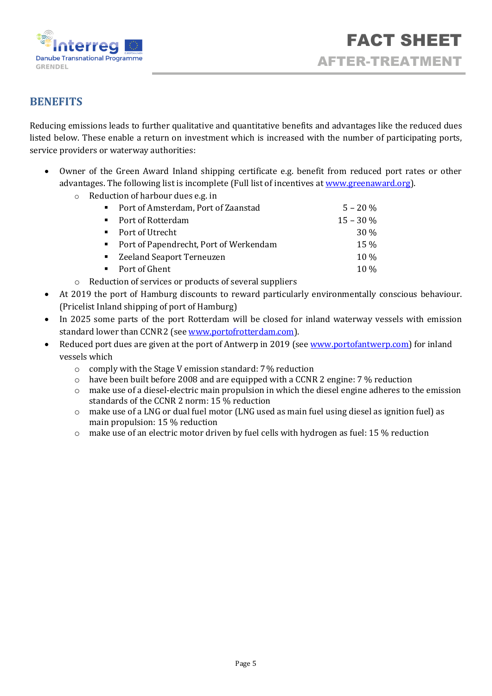

# **BENEFITS**

Reducing emissions leads to further qualitative and quantitative benefits and advantages like the reduced dues listed below. These enable a return on investment which is increased with the number of participating ports, service providers or waterway authorities:

- Owner of the Green Award Inland shipping certificate e.g. benefit from reduced port rates or other advantages. The following list is incomplete (Full list of incentives at [www.greenaward.org\)](http://www.greenaward.org/).
	- o Reduction of harbour dues e.g. in

| • Port of Amsterdam, Port of Zaanstad    | $5 - 20 \%$ |
|------------------------------------------|-------------|
| • Port of Rotterdam                      | $15 - 30\%$ |
| • Port of Utrecht                        | 30 %        |
| • Port of Papendrecht, Port of Werkendam | $15\%$      |
| ■ Zeeland Seaport Terneuzen              | $10\%$      |
| • Port of Ghent                          | $10\%$      |

- o Reduction of services or products of several suppliers
- At 2019 the port of Hamburg discounts to reward particularly environmentally conscious behaviour. (Pricelist Inland shipping of port of Hamburg)
- In 2025 some parts of the port Rotterdam will be closed for inland waterway vessels with emission standard lower than CCNR2 (see [www.portofrotterdam.com\)](http://www.portofrotterdam.com/en/shipping/legislation-and-regulations).
- Reduced port dues are given at the port of Antwerp in 2019 (see www.portofantwerp.com) for inland vessels which
	- o comply with the Stage V emission standard: 7% reduction
	- o have been built before 2008 and are equipped with a CCNR 2 engine: 7 % reduction
	- $\circ$  make use of a diesel-electric main propulsion in which the diesel engine adheres to the emission standards of the CCNR 2 norm: 15 % reduction
	- o make use of a LNG or dual fuel motor (LNG used as main fuel using diesel as ignition fuel) as main propulsion: 15 % reduction
	- o make use of an electric motor driven by fuel cells with hydrogen as fuel: 15 % reduction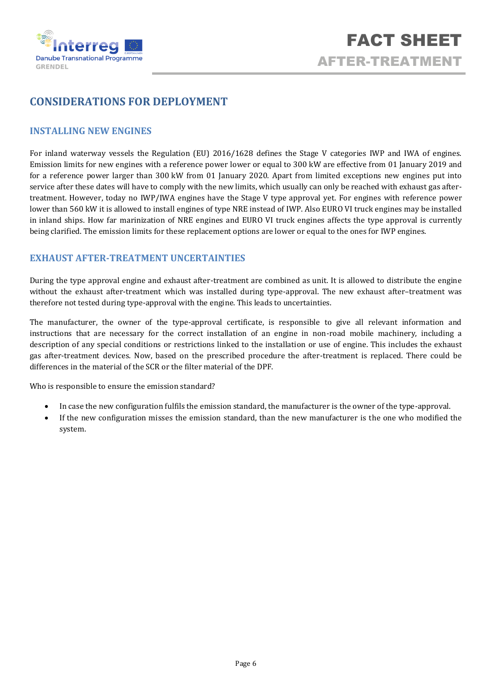

# **CONSIDERATIONS FOR DEPLOYMENT**

### **INSTALLING NEW ENGINES**

For inland waterway vessels the Regulation (EU) 2016/1628 defines the Stage V categories IWP and IWA of engines. Emission limits for new engines with a reference power lower or equal to 300 kW are effective from 01 January 2019 and for a reference power larger than 300 kW from 01 January 2020. Apart from limited exceptions new engines put into service after these dates will have to comply with the new limits, which usually can only be reached with exhaust gas aftertreatment. However, today no IWP/IWA engines have the Stage V type approval yet. For engines with reference power lower than 560 kW it is allowed to install engines of type NRE instead of IWP. Also EURO VI truck engines may be installed in inland ships. How far marinization of NRE engines and EURO VI truck engines affects the type approval is currently being clarified. The emission limits for these replacement options are lower or equal to the ones for IWP engines.

# **EXHAUST AFTER-TREATMENT UNCERTAINTIES**

During the type approval engine and exhaust after-treatment are combined as unit. It is allowed to distribute the engine without the exhaust after-treatment which was installed during type-approval. The new exhaust after–treatment was therefore not tested during type-approval with the engine. This leads to uncertainties.

The manufacturer, the owner of the type-approval certificate, is responsible to give all relevant information and instructions that are necessary for the correct installation of an engine in non-road mobile machinery, including a description of any special conditions or restrictions linked to the installation or use of engine. This includes the exhaust gas after-treatment devices. Now, based on the prescribed procedure the after-treatment is replaced. There could be differences in the material of the SCR or the filter material of the DPF.

Who is responsible to ensure the emission standard?

- In case the new configuration fulfils the emission standard, the manufacturer is the owner of the type-approval.
- If the new configuration misses the emission standard, than the new manufacturer is the one who modified the system.